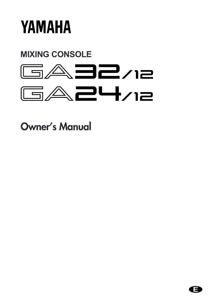

# **MIXING CONSOLE**



**Owner's Manual** 

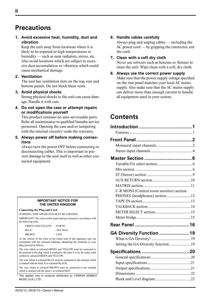# **Precautions**

**1. Avoid excessive heat, humidity, dust and vibration**

Keep the unit away from locations where it is likely to be exposed to high temperatures or humidity — such as near radiators, stoves, etc. Also avoid locations which are subject to excessive dust accumulation or vibration which could cause mechanical damage.

### **2. Ventilation**

The unit has ventilation slots on the top, rear and bottom panels. Do not block these vents.

#### **3. Avoid physical shocks**

Strong physical shocks to the unit can cause damage. Handle it with care.

**4. Do not open the case or attempt repairs or modifications yourself**

This product contains no user-serviceable parts. Refer all maintenance to qualified Yamaha service personnel. Opening the case and/or tampering with the internal circuitry voids the warranty.

**5. Always power off before making connections**

Always turn the power OFF before connecting or disconnecting cables. This is important to prevent damage to the unit itself as well as other connected equipment.

#### **IMPORTANT NOTICE FOR THE UNITED KINGDOM**

#### **Connecting the Plug and Cord**

WARNING: THIS APPARATUS MUST BE EARTHED

IMPORTANT: The wires in this mains lead are coloured in accordance with the following code:

 GREEN-AND-YELLOW : EARTH BLUE : NEUTRAL BROWN **: LIVE** 

As the colours of the wires in the mains lead of this apparatus may not correspond with the coloured markings identifying the terminals in your plug, proceed as follows:

The wire which is coloured GREEN and YELLOW must be connected to the terminal in the plug which is marked by the letter E or by the safety earth symbol or coloured GREEN and YELLOW.

The wire which is coloured BLUE must be connected to the terminal which is marked with the letter N or coloured BLACK.

The wire which is coloured BROWN must be connected to the terminal which is marked with the letter L or coloured RED.

\* This applies only to products distributed by YAMAHA KEMBLE MUSIC (U.K.) LTD.

#### **6. Handle cables carefully**

Always plug and unplug cables — including the AC power cord — by gripping the connector, not the cord.

- **7. Clean with a soft dry cloth** Never use solvents such as benzine or thinner to clean the unit. Wipe clean with a soft, dry cloth.
- **8. Always use the correct power supply** Make sure that the power supply voltage specified on the rear panel matches your local AC mains supply. Also make sure that the AC mains supply can deliver more than enough current to handle all equipment used in your system.

# **Contents**

| C-R MONI (Control room monitor) section |  |
|-----------------------------------------|--|
| PHONES (headphones) section 12          |  |
|                                         |  |
|                                         |  |
|                                         |  |
|                                         |  |
|                                         |  |
| GA Diversity Function 19                |  |
|                                         |  |
| Setting the GA Diversity function 19    |  |
|                                         |  |
|                                         |  |
|                                         |  |
|                                         |  |
|                                         |  |
|                                         |  |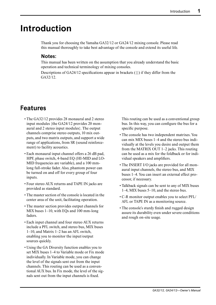# **Introduction**

Thank you for choosing the Yamaha GA32/12 or GA24/12 mixing console. Please read this manual thoroughly to take best advantage of the console and extend its useful life.

# **Notes:**

This manual has been written on the assumption that you already understand the basic operation and technical terminology of mixing consoles.

Descriptions of GA24/12 specifications appear in brackets  $({})$  if they differ from the GA32/12.

# **Features**

- The GA32/12 provides 28 monaural and 2 stereo input modules {the GA24/12 provides 20 monaural and 2 stereo input modules}. The output channels comprise stereo outputs, 10 mix outputs, and two matrix outputs, and support a wide range of applications, from SR (sound reinforcement) to facility acoustics.
- Each monaural input channel offers a 26 dB pad, HPF, phase switch, 4-band EQ (HI-MID and LO-MID frequencies are variable), and a 100 mmlong full-stroke fader. Also, phantom power can be turned on and off for every group of four inputs.
- Four stereo AUX returns and TAPE IN jacks are provided as standard.
- The master section of the console is located in the center area of the unit, facilitating operation.
- The master section provides output channels for MIX buses 1–10, with EQs and 100 mm-long faders.
- Each input channel and four stereo AUX returns include a PFL switch, and stereo bus, MIX buses 1–10, and Matrix 1–2 has an AFL switch, enabling you to monitor the input/output sources quickly.
- Using the GA Diversity function enables you to set MIX buses 1–4 to Variable mode or Fix mode individually. In Variable mode, you can change the level of the signals sent out from the input channels. This routing can be used as a conventional AUX bus. In Fix mode, the level of the signals sent out from the input channels is fixed.

This routing can be used as a conventional group bus. In this way, you can configure the bus for a specific purpose.

- The console has two independent matrixes. You can mix MIX buses 1–4 and the stereo bus individually at the levels you desire and output them from the MATRIX OUT 1–2 jacks. This routing can be used as a mix for the foldback or for individual speakers and amplifiers.
- The INSERT I/O jacks are provided for all monaural input channels, the stereo bus, and MIX buses 1–4. You can insert an external effect processor, if necessary.
- Talkback signals can be sent to any of MIX buses 1–4, MIX buses 5–10, and the stereo bus.
- C-R monitor output enables you to select PFL/ AFL or TAPE IN as a monitoring source.
- The console's sturdy finish and rugged design assure its durability even under severe conditions and rough on-site usage.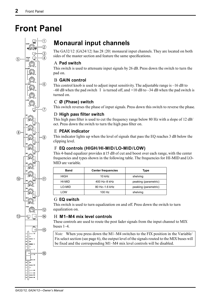# **Front Panel**



# **Monaural input channels**

The GA32/12 {GA24/12} has 28 {20} monaural input channels. They are located on both sides of the master section and feature the same specifications.

# A **Pad switch**

This switch is used to attenuate input signals by 26 dB. Press down the switch to turn the pad on.

# B **GAIN control**

This control knob is used to adjust input sensitivity. The adjustable range is –16 dB to –60 dB when the pad switch 1 is turned off, and  $+10$  dB to –34 dB when the pad switch is turned on.

# C **Ø (Phase) switch**

This switch reverses the phase of input signals. Press down this switch to reverse the phase.

# D **High pass filter switch**

This high pass filter is used to cut the frequency range below 80 Hz with a slope of 12 dB/ oct. Press down the switch to turn the high pass filter on.

# E **PEAK indicator**

This indicator lights up when the level of signals that pass the EQ reaches 3 dB below the clipping level.

# F **EQ controls (HIGH/HI-MID/LO-MID/LOW)**

This 4-band equalizer provides  $\pm 15$  dB of cut and boost over each range, with the center frequencies and types shown in the following table. The frequencies for HI-MID and LO-MID are variable.

| <b>Band</b> | <b>Center frequencies</b> | Type                 |
|-------------|---------------------------|----------------------|
| <b>HIGH</b> | $10$ kHz                  | shelving             |
| HI-MID      | 400 Hz-8 kHz              | peaking (parametric) |
| LO-MID      | 80 Hz-1.6 kHz             | peaking (parametric) |
| LOW         | $100$ Hz                  | shelving             |

# G **EQ switch**

This switch is used to turn equalization on and off. Press down the switch to turn equalization on.

# H **M1–M4 mix level controls**

These controls are used to route the post fader signals from the input channel to MIX buses 1–4.

*Note:* When you press down the M1–M4 switches to the FIX position in the Variable/ Fix select section (see page 6), the output level of the signals routed to the MIX buses will be fixed and the corresponding M1–M4 mix level controls will be disabled.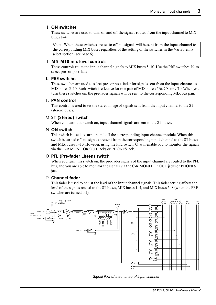### I **ON switches**

These switches are used to turn on and off the signals routed from the input channel to MIX buses 1–4.

*Note:* When these switches are set to off, no signals will be sent from the input channel to the corresponding MIX buses regardless of the setting of the switches in the Variable/Fix select section (see page 6).

#### J **M5–M10 mix level controls**

These controls route the input channel signals to MIX buses  $5-10$ . Use the PRE switches K to select pre- or post-fader.

#### K **PRE switches**

These switches are used to select pre- or post-fader for signals sent from the input channel to MIX buses 5–10. Each switch is effective for one pair of MIX buses: 5/6, 7/8, or 9/10.When you turn these switches on, the pre-fader signals will be sent to the corresponding MIX bus pair.

#### L **PAN control**

This control is used to set the stereo image of signals sent from the input channel to the ST (stereo) buses.

### M **ST (Stereo) switch**

When you turn this switch on, input channel signals are sent to the ST buses.

#### N **ON switch**

This switch is used to turn on and off the corresponding input channel module. When this switch is turned off, no signals are sent from the corresponding input channel to the ST buses and MIX buses 1–10. However, using the PFL switch O will enable you to monitor the signals via the C-R MONITOR OUT jacks or PHONES jack.

### O **PFL (Pre-fader Listen) switch**

When you turn this switch on, the pre-fader signals of the input channel are routed to the PFL bus, and you are able to monitor the signals via the C-R MONITOR OUT jacks or PHONES jack.

#### P **Channel fader**

This fader is used to adjust the level of the input channel signals. This fader setting affects the level of the signals routed to the ST buses, MIX buses 1–4, and MIX buses 5–8 (when the PRE switches are turned off).



Signal flow of the monaural input channel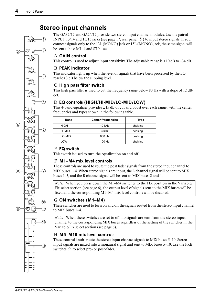**–15 +15**

**80** 

**+10 –34 GAIN**

分

3

 $\circledA$ 

 $\circ$ 

**–15 +15 HI-MID**

**–15 +15 LO-MID**

**PEAK HIGH**

 $\Omega$ 

**EQ**

**–15 +15**

**LOW**

**M1**

 $\binom{6}{ }$ 

**ON**

**ON 0 10 M3**

**ON 0 10 M4**

**ON 0 10 M5**

**PRE 0 10 M6**

**M7**

**0 10**

**0 10 M2**

# **Stereo input channels**

The GA32/12 and GA24/12 provide two stereo input channel modules. Use the paired INPUT 13/14 and 15/16 jacks (see page 17, rear panel 5 ) to input stereo signals. If you connect signals only to the 13L (MONO) jack or 15L (MONO) jack, the same signal will be sent t the o M1–4 and ST buses.

# A **GAIN control**

This control is used to adjust input sensitivity. The adjustable range is  $+10$  dB to  $-34$  dB.

# B **PEAK indicator**

This indicator lights up when the level of signals that have been processed by the EQ reaches 3 dB below the clipping level.

# C **High pass filter switch**

This high pass filter is used to cut the frequency range below 80 Hz with a slope of 12 dB/ oct.

# D **EQ controls (HIGH/HI-MID/LO-MID/LOW)**

This 4-band equalizer provides  $\pm 15$  dB of cut and boost over each range, with the center frequencies and types shown in the following table.

| <b>Band</b> | <b>Center frequencies</b> | <b>Type</b> |  |
|-------------|---------------------------|-------------|--|
| <b>HIGH</b> | $10$ kHz                  | shelving    |  |
| HI-MID      | 3 kHz                     | peaking     |  |
| LO-MID      | 800 Hz                    | peaking     |  |
| LOW         | 100 Hz                    | shelving    |  |

# E **EQ switch**

This switch is used to turn the equalization on and off.

# F **M1–M4 mix level controls**

These controls are used to route the post fader signals from the stereo input channel to MIX buses 1–4. When stereo signals are input, the L channel signal will be sent to MIX buses 1, 3, and the R channel signal will be sent to MIX buses 2 and 4.

*Note:* When you press down the M1–M4 switches to the FIX position in the Variable/ Fix select section (see page 6), the output level of signals sent to the MIX buses will be fixed and the corresponding M1–M4 mix level controls will be disabled.

# G **ON switches (M1–M4)**

These switches are used to turn on and off the signals routed from the stereo input channel to MIX buses 1–4.

*Note:* When these switches are set to off, no signals are sent from the stereo input channel to the corresponding MIX buses regardless of the setting of the switches in the Variable/Fix select section (see page 6).

# H **M5–M10 mix level controls**

These control knobs route the stereo input channel signals to MIX buses 5–10. Stereo input signals are mixed into a monaural signal and sent to MIX buses 5–10. Use the PRE switches 9 to select pre- or post-fader.

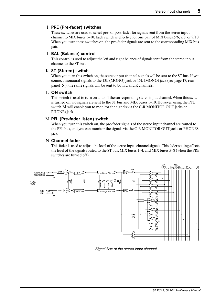# I **PRE (Pre-fader) switches**

These switches are used to select pre- or post-fader for signals sent from the stereo input channel to MIX buses 5–10. Each switch is effective for one pair of MIX buses:5/6, 7/8, or 9/10. When you turn these switches on, the pre-fader signals are sent to the corresponding MIX bus pair.

# J **BAL (Balance) control**

This control is used to adjust the left and right balance of signals sent from the stereo input channel to the ST bus.

# K **ST (Stereo) switch**

When you turn this switch on, the stereo input channel signals will be sent to the ST bus. If you connect monaural signals to the 13L (MONO) jack or 15L (MONO) jack (see page 17, rear panel 5 ), the same signals will be sent to both L and R channels.

### L **ON switch**

This switch is used to turn on and off the corresponding stereo input channel.When this switch is turned off, no signals are sent to the ST bus and MIX buses 1–10. However, using the PFL switch M will enable you to monitor the signals via the C-R MONITOR OUT jacks or PHONEs jack.

### M **PFL (Pre-fader listen) switch**

When you turn this switch on, the pre-fader signals of the stereo input channel are routed to the PFL bus, and you can monitor the signals via the C-R MONITOR OUT jacks or PHONES jack.

### N **Channel fader**

This fader is used to adjust the level of the stereo input channel signals. This fader setting affects the level of the signals routed to the ST bus, MIX buses 1–4, and MIX buses 5–8 (when the PRE switches are turned off).



Signal flow of the stereo input channel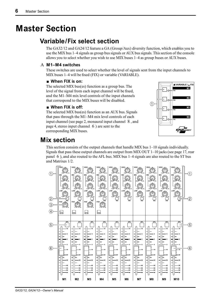# **Master Section**

# **Variable/Fix select section**

The GA32/12 and GA24/12 feature a GA (Group/Aux) diversity function, which enables you to use the MIX bus 1–4 signals as group bus signals or AUX bus signals. This section of the console allows you to select whether you wish to use MIX buses 1–4 as group buses or AUX buses.

# A **M1–M4 switches**

These switches are used to select whether the level of signals sent from the input channels to MIX buses 1–4 will be fixed (FIX) or variable (VARIABLE).

### ■ **When FIX is on:**

The selected MIX bus(es) function as a group bus. The level of the signal from each input channel will be fixed, and the M1–M4 mix level controls of the input channels that correspond to the MIX buses will be disabled.

### ■ When FIX is off:

The selected MIX bus(es) function as an AUX bus. Signals that pass through the M1–M4 mix level controls of each input channel (see page 2, monaural input channel 8 , and page 4, stereo input channel 6 ) are sent to the corresponding MIX buses.



# **Mix section**

This section consists of the output channels that handle MIX bus 1–10 signals individually. Signals that pass these output channels are output from MIX OUT  $1-10$  jacks (see page 17, rear panel 6 ), and also routed to the AFL bus. MIX bus 1–4 signals are also routed to the ST bus and Matrixes 1/2.

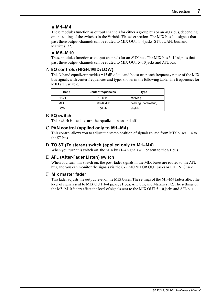# ■ **M1–M4**

These modules function as output channels for either a group bus or an AUX bus, depending on the setting of the switches in the Variable/Fix select section. The MIX bus 1–4 signals that pass these output channels can be routed to MIX OUT 1–4 jacks, ST bus, AFL bus, and Matrixes 1/2.

# ■ **M5–M10**

These modules function as output channels for an AUX bus. The MIX bus 5–10 signals that pass these output channels can be routed to MIX OUT 5–10 jacks and AFL bus.

# A **EQ controls (HIGH/ MID/LOW)**

This 3-band equalizer provides  $\pm 15$  dB of cut and boost over each frequency range of the MIX bus signals, with center frequencies and types shown in the following table. The frequencies for MID are variable.

| <b>Band</b> | <b>Center frequencies</b> | Type                 |
|-------------|---------------------------|----------------------|
| <b>HIGH</b> | 10 kHz                    | shelving             |
| MID         | 300-6 kHz                 | peaking (parametric) |
| LOW         | 100 Hz                    | shelving             |

### B **EQ switch**

This switch is used to turn the equalization on and off.

#### C **PAN control (applied only to M1–M4)**

This control allows you to adjust the stereo position of signals routed from MIX buses 1–4 to the ST bus.

### D **TO ST (To stereo) switch (applied only to M1–M4)**

When you turn this switch on, the MIX bus  $1-4$  signals will be sent to the ST bus.

### E **AFL (After-Fader Listen) switch**

When you turn this switch on, the post-fader signals in the MIX buses are routed to the AFL bus, and you can monitor the signals via the C-R MONITOR OUT jacks or PHONES jack.

### F **Mix master fader**

This fader adjusts the output level of the MIX buses. The settings of the M1–M4 faders affect the level of signals sent to MIX OUT 1–4 jacks, ST bus, AFL bus, and Matrixes 1/2. The settings of the M5–M10 faders affect the level of signals sent to the MIX OUT 5–10 jacks and AFL bus.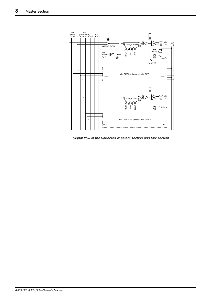

Signal flow in the Variable/Fix select section and Mix section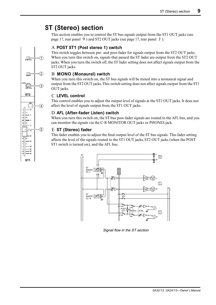# **ST (Stereo) section**

This section enables you to control the ST bus signals output from the ST1 OUT jacks (see page 17, rear panel 9 ) and ST2 OUT jacks (see page 17, rear panel J ).

# A **POST ST1 (Post stereo 1) switch**

This switch toggles between pre- and post-fader for signals output from the ST2 OUT jacks. When you turn this switch on, signals that passed the ST fader are output from the ST2 OUT jacks. When you turn the switch off, the ST fader setting does not affect signals output from the ST2 OUT jacks.

# B **MONO (Monaural) switch**

When you turn this switch on, the ST bus signals will be mixed into a monaural signal and output from the ST2 OUT jacks. This switch setting does not affect signals output from the ST1 OUT jacks.

# C **LEVEL control**

This control enables you to adjust the output level of signals at the ST2 OUT jacks. It does not affect the level of signals output from the ST1 OUT jacks.

# D **AFL (After-fader Listen) switch**

When you turn this switch on, the ST bus post-fader signals are routed to the AFL bus, and you can monitor the signals via the C-R MONITOR OUT jacks or PHONES jack.

# E **ST (Stereo) fader**

This fader enables you to adjust the final output level of the ST bus signals. This fader setting affects the level of the signals routed to the ST1 OUT jacks, ST2 OUT jacks (when the POST ST1 switch is turned on), and the AFL bus.



Signal flow in the ST section

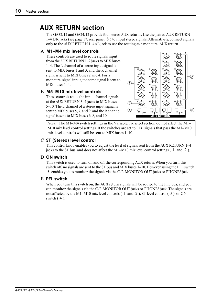# **AUX RETURN section**

The GA32/12 and GA24/12 provide four stereo AUX returns. Use the paired AUX RETURN 1–4 L/R jacks (see page 17, rear panel 8 ) to input stereo signals. Alternatively, connect signals only to the AUX RETURN 1–4's L jack to use the routing as a monaural AUX return.

# A **M1–M4 mix level controls**

These controls are used to route signals input from the AUX RETURN 1–2 jacks to MIX buses 1–4. The L channel of a stereo input signal is sent to MIX buses 1 and 3, and the R channel signal is sent to MIX buses 2 and 4. For a monaural signal input, the same signal is sent to MIX buses 1–4.

# B **M5–M10 mix level controls**

These controls route the input channel signals at the AUX RETURN 3–4 jacks to MIX buses 5–10. The L channel of a stereo input signal is sent to MIX buses 5, 7, and 9, and the R channel signal is sent to MIX buses 6, 8, and 10.



*Note:* The M1–M4 switch settings in the Variable/Fix select section do not affect the M1– M10 mix level control settings. If the switches are set to FIX, signals that pass the M1–M10 mix level controls will still be sent to MIX buses 1–10.

# C **ST (Stereo) level control**

This control knob enables you to adjust the level of signals sent from the AUX RETURN 1–4 jacks to the ST bus, and does not affect the M1–M10 mix level control settings ( 1 and 2 ).

### D **ON switch**

This switch is used to turn on and off the corresponding AUX return. When you turn this switch off, no signals are sent to the ST bus and MIX buses 1–10. However, using the PFL switch 5 enables you to monitor the signals via the C-R MONITOR OUT jacks or PHONES jack.

# E **PFL switch**

When you turn this switch on, the AUX return signals will be routed to the PFL bus, and you can monitor the signals via the C-R MONITOR OUT jacks or PHONES jack. The signals are not affected by the M1–M10 mix level controls ( 1 and 2 ), ST level control ( 3 ), or ON switch  $(4)$ .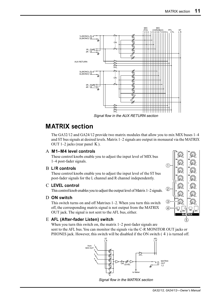

Signal flow in the AUX RETURN section

# **MATRIX section**

The GA32/12 and GA24/12 provide two matrix modules that allow you to mix MIX buses 1–4 and ST bus signals at desired levels. Matrix 1–2 signals are output in monaural via the MATRIX OUT  $1-2$  jacks (rear panel K).

#### A **M1–M4 level controls**

These control knobs enable you to adjust the input level of MIX bus 1–4 post-fader signals.

#### B **L/R controls**

These control knobs enable you to adjust the input level of the ST bus post-fader signals for the L channel and R channel independently.

#### C **LEVEL control**

This control knob enables you to adjust the output level of Matrix 1–2 signals.

#### D **ON switch**

This switch turns on and off Matrixes 1–2. When you turn this switch off, the corresponding matrix signal is not output from the MATRIX OUT jack. The signal is not sent to the AFL bus, either.

#### E **AFL (After-fader Listen) switch**

When you turn this switch on, the matrix 1–2 post-fader signals are sent to the AFL bus. You can monitor the signals via the C-R MONITOR OUT jacks or PHONES jack. However, this switch will be disabled if the ON switch ( 4 ) is turned off.



Signal flow in the MATRIX section

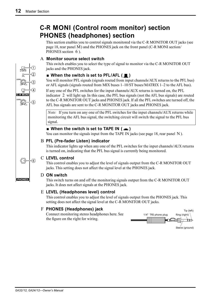# **C-R MONI (Control room monitor) section PHONES (headphones) section**

This section enables you to control signals monitored via the C-R MONITOR OUT jacks (see page 18, rear panel M) and the PHONES jack on the front panel (C-R MONI section/ PHONES section 6).

# A **Monitor source select switch**

This switch enables you to select the type of signal to monitor via the C-R MONITOR OUT jacks and the PHONES jack.

# ■ When the switch is set to PFL/AFL (■)

You will monitor PFL signals (signals routed from input channels/AUX returns to the PFL bus) or AFL signals (signals routed from MIX buses 1–10/ST buses/MATRIX 1–2 to the AFL bus).

If any one of the PFL switches for the input channels/AUX returns is turned on, the PFL indicator 2 will light up. In this case, the PFL bus signals (not the AFL bus signals) are routed to the C-R MONITOR OUT jacks and PHONES jack. If all the PFL switches are turned off, the AFL bus signals are sent to the C-R MONITOR OUT jacks and PHONES jack.

*Note:* If you turn on any one of the PFL switches for the input channels/AUX returns while monitoring the AFL bus signal, the switching circuit will switch the signal to the PFL bus signal.

# ■ When the switch is set to TAPE IN ( <del>■</del> )

You can monitor the signals input from the TAPE IN jacks (see page 18, rear panel  $\overline{N}$ ).

# B **PFL (Pre-fader Listen) indicator**

This indicator lights up when any one of the PFL switches for the input channels/AUX returns is turned on, indicating that the PFL bus signal is currently being monitored.

# C **LEVEL control**

This control enables you to adjust the level of signals output from the C-R MONITOR OUT jacks. This setting does not affect the signal level at the PHONES jack.

# D **ON switch**

This switch turns on and off the monitoring signals output from the C-R MONITOR OUT jacks. It does not affect signals at the PHONES jack.

# E **LEVEL (Headphones level) control**

This control enables you to adjust the level of signals output from the PHONES jack. This setting does not affect the signal level at the C-R MONITOR OUT jacks.

# F **PHONES (Headphones) jack**

Connect monitoring stereo headphones here. See the figure on the right for wiring.



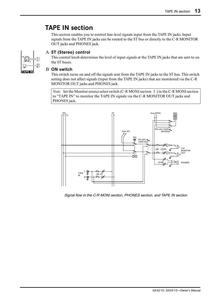# **TAPE IN section**

This section enables you to control line-level signals input from the TAPE IN jacks. Input signals from the TAPE IN jacks can be routed to the ST bus or directly to the C-R MONITOR OUT jacks and PHONES jack.



# A **ST (Stereo) control**

This control knob determines the level of input signals at the TAPE IN jacks that are sent to on the ST buses.

#### B **ON switch**

This switch turns on and off the signals sent from the TAPE IN jacks to the ST bus. This switch setting does not affect signals (input from the TAPE IN jacks) that are monitored via the C-R MONITOR OUT jacks and PHONES jack.

*Note:* Set the Monitor source select switch (C-R MONI section 1) in the C-R MONI section to "TAPE IN" to monitor the TAPE IN signals via the C-R MONITOR OUT jacks and PHONES jack.



Signal flow in the C-R MONI section, PHONES section, and TAPE IN section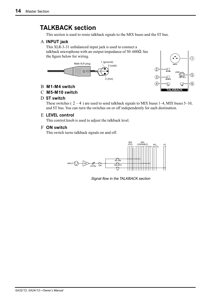# **TALKBACK section**

This section is used to route talkback signals to the MIX buses and the ST bus.

# A **INPUT jack**

This XLR-3-31 unbalanced input jack is used to connect a talkback microphone with an output impedance of 50–600 $Ω$ . See the figure below for wiring.





### B **M1-M4 switch**

### C **M5-M10 switch**

#### D **ST switch**

These switches ( $2-4$ ) are used to send talkback signals to MIX buses 1–4, MIX buses 5–10, and ST bus. You can turn the switches on or off independently for each destination.

### E **LEVEL control**

This control knob is used to adjust the talkback level.

#### F **ON switch**

This switch turns talkback signals on and off.



Signal flow in the TALKBACK section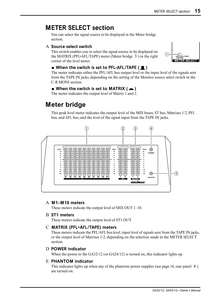# **METER SELECT section**

You can select the signal source to be displayed in the Meter bridge section.

#### A **Source select switch**

This switch enables you to select the signal source to be displayed on the MATRIX (PFL•AFL/TAPE) meter (Meter bridge 3 ) in the right corner of the level meter.

#### ■ When the switch is set to PFL-AFL/TAPE (■)

**METER SELECT PFL•AFL/TAPE MATRIX**

The meter indicates either the PFL/AFL bus output level or the input level of the signals sent from the TAPE IN jacks, depending on the setting of the Monitor source select switch in the C-R MONI section.

# ■ When the switch is set to MATRIX ( **■** )

The meter indicates the output level of Matrix 1 and 2.

# **Meter bridge**

This peak level meter indicates the output level of the MIX buses, ST bus, Matrixes 1/2, PFL bus, and AFL bus, and the level of the signal input from the TAPE IN jacks.



### A **M1–M10 meters**

These meters indicate the output level of MIX OUT 1–10.

#### B **ST1 meters**

These meters indicate the output level of ST1 OUT.

### C **MATRIX (PFL•AFL/TAPE) meters**

These meters indicate the PFL/AFL bus level, input level of signals sent from the TAPE IN jacks, or the output level of Matrixes 1/2, depending on the selection made in the METER SELECT section.

### D **POWER indicator**

When the power to the GA32/12 (or GA24/12) is turned on, this indicator lights up.

### E **PHANTOM indicator**

This indicator lights up when any of the phantom power supplies (see page 16, rear panel 4 ) are turned on.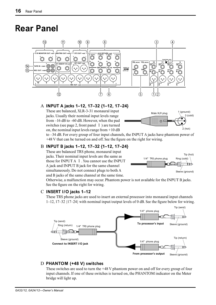# **Rear Panel**



# A **INPUT A jacks 1–12, 17–32 {1–12, 17–24}**

These are balanced, XLR-3-31 monaural input jacks. Usually their nominal input levels range from –16 dB to –60 dB. However, when the pad switches (see page 2, front panel  $1$ ) are turned on, the nominal input levels range from  $+10$  dB



to –34 dB. For every group of four input channels, the INPUT A jacks have phantom power of +48 V that can be turned on and off. See the figure on the right for wiring.

# B **INPUT B jacks 1–12, 17–32 {1–12, 17–24}**

These are balanced TRS phone, monaural input jacks. Their nominal input levels are the same as those for INPUT A 1 . You cannot use the INPUT A jack and INPUT B jack for the same channel simultaneously. Do not connect plugs to both A and B jacks of the same channel at the same time.



Otherwise, a malfunction may occur. Phantom power is not available for the INPUT B jacks. See the figure on the right for wiring.

# C **INSERT I/O jacks 1–12**

These TRS phone jacks are used to insert an external processor into monaural input channels 1–12, 17–32 {17–24} with nominal input/output levels of 0 dB. See the figure below for wiring.



### D **PHANTOM (+48 V) switches**

These switches are used to turn the +48 V phantom power on and off for every group of four input channels. If one of these switches is turned on, the PHANTOM indicator on the Meter bridge will light up.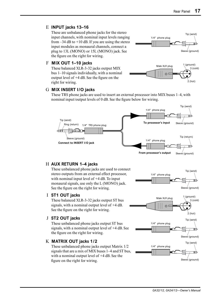# E **INPUT jacks 13–16**

These are unbalanced phone jacks for the stereo input channels, with nominal input levels ranging from  $-34$  dB to  $+10$  dB. If you are using the stereo input modules as monaural channels, connect a plug to 13L (MONO) or 15L (MONO) jack. See the figure on the right for wiring.

### F **MIX OUT 1–10 jacks**

These balanced XLR-3-32 jacks output MIX bus 1–10 signals individually, with a nominal output level of +4 dB. See the figure on the right for wiring.

#### G **MIX INSERT I/O jacks**





These TRS phone jacks are used to insert an external processor into MIX buses 1–4, with nominal input/output levels of 0 dB. See the figure below for wiring.



#### H **AUX RETURN 1–4 jacks**

These unbalanced phone jacks are used to connect stereo outputs from an external effect processor, with nominal input level of  $+4$  dB. To input monaural signals, use only the L (MONO) jack. See the figure on the right for wiring.

#### I **ST1 OUT jacks**

These balanced XLR-3-32 jacks output ST bus signals, with a nominal output level of +4 dB. See the figure on the right for wiring.

#### J **ST2 OUT jacks**

These unbalanced phone jacks output ST bus signals, with a nominal output level of +4 dB. See the figure on the right for wiring.

#### K **MATRIX OUT jacks 1/2**

These unbalanced phone jacks output Matrix 1/2 signals that are a mix of MIX buses 1–4 and ST bus, with a nominal output level of +4 dB. See the figure on the right for wiring.







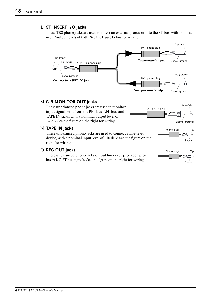# L **ST INSERT I/O jacks**

These TRS phone jacks are used to insert an external processor into the ST bus, with nominal input/output levels of 0 dB. See the figure below for wiring.



### M **C-R MONITOR OUT jacks**

These unbalanced phone jacks are used to monitor input signals sent from the PFL bus, AFL bus, and TAPE IN jacks, with a nominal output level of +4 dB. See the figure on the right for wiring.

#### N **TAPE IN jacks**

These unbalanced phono jacks are used to connect a line-level device, with a nominal input level of –10 dBV. See the figure on the right for wiring.

#### O **REC OUT jacks**

These unbalanced phono jacks output line-level, pre-fader, preinsert I/O ST bus signals. See the figure on the right for wiring.







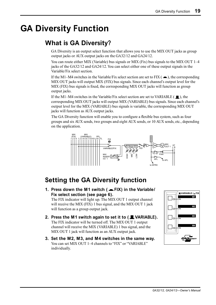# **GA Diversity Function**

# **What is GA Diversity?**

GA Diversity is an output select function that allows you to use the MIX OUT jacks as group output jacks or AUX output jacks on the GA32/12 and GA24/12.

You can route either MIX (Variable) bus signals or MIX (Fix) bus signals to the MIX OUT 1–4 jacks of the GA32/12 and GA24/12. You can select either one of these output signals in the Variable/Fix select section.

If the M1–M4 switches in the Variable/Fix select section are set to FIX ( $\blacksquare$ ), the corresponding MIX OUT jacks will output MIX (FIX) bus signals. Since each channel's output level for the MIX (FIX) bus signals is fixed, the corresponding MIX OUT jacks will function as group output jacks.

If the M1–M4 switches in the Variable/Fix select section are set to VARIABLE ( $\blacksquare$ ), the corresponding MIX OUT jacks will output MIX (VARIABLE) bus signals. Since each channel's output level for the MIX (VARIABLE) bus signals is variable, the corresponding MIX OUT jacks will function as AUX output jacks.

The GA Diversity function will enable you to configure a flexible bus system, such as four groups and six AUX sends, two groups and eight AUX sends, or 10 AUX sends, etc., depending on the application.



# **Setting the GA Diversity function**

**1. Press down the M1 switch ( FIX) in the Variable/ Fix select section (see page 6).**

The FIX indicator will light up. The MIX OUT 1 output channel will receive the MIX (FIX) 1 bus signal, and the MIX OUT 1 jack will function as a group output jack.

- **2. Press the M1 switch again to set it to ( VARIABLE).** The FIX indicator will be turned off. The MIX OUT 1 output channel will receive the MIX (VARIABLE) 1 bus signal, and the MIX OUT 1 jack will function as an AUX output jack.
- **3. Set the M2, M3, and M4 switches in the same way.** You can set MIX OUT 1-4 channels to "FIX" or "VARIABLE" individually.

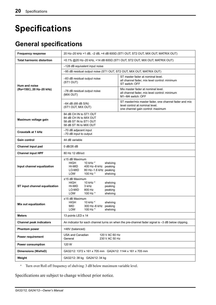# **Specifications**

# **General specifications**

| <b>Frequency response</b>        | 20 Hz-20 kHz +1 dB, -2 dB, +4 dB 600Ω (ST1 OUT, ST2 OUT, MIX OUT, MATRIX OUT)                                                                                               |  |  |  |
|----------------------------------|-----------------------------------------------------------------------------------------------------------------------------------------------------------------------------|--|--|--|
| <b>Total harmonic distortion</b> | <0.1% @20 Hz-20 kHz, +14 dB 600Ω (ST1 OUT, ST2 OUT, MIX OUT, MATRIX OUT)                                                                                                    |  |  |  |
|                                  | -128 dB equivalent input noise                                                                                                                                              |  |  |  |
|                                  | -95 dB residual output noise (ST1 OUT, ST2 OUT, MIX OUT, MATRIX OUT)                                                                                                        |  |  |  |
| Hum and noise                    | ST master fader at nominal level.<br>-83 dB residual output noise<br>all channel fader, mix level control: minimum<br>(ST1 OUT)<br>ST switch: OFF                           |  |  |  |
| (Rs=150Ω, 20 Hz-20 kHz)          | Mix master fader at nominal level.<br>-78 dB residual output noise<br>all channel fader, mix level control: minimum<br>(MIX OUT)<br>M1-M4 switch: OFF                       |  |  |  |
|                                  | ST master/mix master fader, one channel fader and mix<br>$-64$ dB (68 dB S/N)<br>level control at nominal level.<br>(ST1 OUT, MIX OUT)<br>one channel gain control: maximum |  |  |  |
| Maximum voltage gain             | 84 dB CH IN to ST1 OUT<br>84 dB CH IN to MIX OUT<br>58 dB ST IN to ST1 OUT<br>58 dB ST IN to MIX OUT                                                                        |  |  |  |
| <b>Crosstalk at 1 kHz</b>        | $-70$ dB adjacent input<br>-70 dB input to output                                                                                                                           |  |  |  |
| Gain control                     | 44 dB variable                                                                                                                                                              |  |  |  |
| Channel input pad                | 0 dB/26 dB                                                                                                                                                                  |  |  |  |
| <b>Channel input HPF</b>         | 80 Hz 12 dB/oct                                                                                                                                                             |  |  |  |
| Input channel equalization       | ±15 dB Maximum<br>10 kHz *<br>HIGH<br>shelving<br>HI-MID<br>400 Hz-8 kHz peaking<br>LO-MID<br>80 Hz-1.6 kHz peaking<br><b>LOW</b><br>100 Hz *<br>shelving                   |  |  |  |
| ST input channel equalization    | ±15 dB Maximum<br><b>HIGH</b><br>10 kHz *<br>shelving<br>HI-MID<br>3 kHz<br>peaking<br>LO-MID<br>800 Hz<br>peaking<br>LOW<br>100 Hz *<br>shelving                           |  |  |  |
| Mix out equalization             | $±15$ dB Maximum<br>10 kHz *<br>HIGH<br>shelving<br>300 Hz-6 kHz peaking<br>MID.<br>LOW<br>100 Hz *<br>shelving                                                             |  |  |  |
| <b>Meters</b>                    | 13 points LED x 14                                                                                                                                                          |  |  |  |
| <b>Channel peak indicators</b>   | An indicator for each channel turns on when the pre-channel fader signal is -3 dB below clipping.                                                                           |  |  |  |
| <b>Phantom power</b>             | +48V (balanced)                                                                                                                                                             |  |  |  |
| <b>Power requirement</b>         | <b>USA and Canadian</b><br>120 V AC 60 Hz<br>230 V AC 50 Hz<br>General                                                                                                      |  |  |  |
| <b>Power consumption</b>         | 120 W                                                                                                                                                                       |  |  |  |
| <b>Dimensions (WxHxD)</b>        | GA32/12: 1372 x 161 x 705 mm GA24/12: 1144 x 161 x 705 mm                                                                                                                   |  |  |  |
| Weight                           | GA32/12: 38 kg GA24/12: 34 kg                                                                                                                                               |  |  |  |

\* Turn over/Roll off frequency of shelving: 3 dB below maximum variable level.

Specifications are subject to change without prior notice.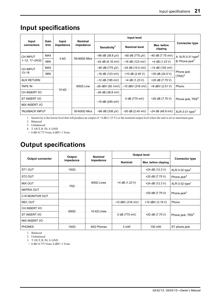# **Input specifications**

|                              | Gain<br>trim | Input<br>impedance | <b>Nominal</b><br>impedance |                          |                        |                         |                                                               |
|------------------------------|--------------|--------------------|-----------------------------|--------------------------|------------------------|-------------------------|---------------------------------------------------------------|
| Input<br>connectors          |              |                    |                             | Sensitivity <sup>1</sup> | <b>Nominal level</b>   | Max. before<br>clipping | <b>Connector type</b>                                         |
| CH INPUT<br>1-12, 17-24/32   | <b>MAX</b>   | $3 k\Omega$        | 50-600 $\Omega$ Mics        | $-86$ dB (38.8 $\mu$ V)  | $-60$ dB (775 $\mu$ V) | -40 dB (7.75 mV)        | A: $XLR-3-31$ type <sup>2</sup><br>B: Phone jack <sup>2</sup> |
|                              | <b>MIN</b>   |                    |                             | $-42$ dB (6.16 mV)       | $-16$ dB (123 mV)      | +4 dB (1.23 V)          |                                                               |
| <b>CH INPUT</b><br>$13 - 16$ | <b>MAX</b>   |                    |                             | $-60$ dB (775 µV)        | $-34$ dB (15.5 mV)     | $-14$ dB (155 mV)       |                                                               |
|                              | <b>MIN</b>   |                    |                             | $-16$ dB (123 mV)        | +10 dB $(2.45 V)$      | +30 dB (24.5 V)         | Phone jack<br>$(TRS)^3$                                       |
| <b>AUX RETURN</b>            |              |                    |                             | $-12$ dB (195 mV)        | +4 dB (1.23 V)         | +20 dB (7.75 V)         |                                                               |
| <b>TAPE IN</b>               |              |                    | $600\Omega$ Line            | $-26$ dBV (50.1mV)       | $-10$ dBV (316 mV)     | +8 dBV (2.51 V)         | Phono                                                         |
| CH INSERT I/O                |              | 10 k $\Omega$      |                             | $-26$ dB (38.8 mV)       |                        |                         |                                                               |
| ST INSERT I/O                |              |                    |                             |                          | 0 dB (775 mV)          | +20 dB (7.75 V)         | Phone jack, TRS <sup>4</sup>                                  |
| <b>MIX INSERT I/O</b>        |              |                    |                             | $-10$ dB (245 mV)        |                        |                         |                                                               |
| <b>TALKBACK INPUT</b>        |              |                    | 50-600 $\Omega$ Mics        | $-66$ dB (338 µV)        | $-50$ dB (2.45 mV)     | $-24$ dB (48.9 mV)      | $XLR-3-31$ type <sup>3</sup>                                  |

1. Sensitivity is the lowest level that will produce an output of +4 dB (1.23 V) or the nominal output level when the unit is set to maximum gain.

2. Balanced

3. Unbalanced

4. T: OUT, R: IN, S: GND

• 0 dB=0.775 Vrms, 0 dBV=1 Vrms

# **Output specifications**

|                         | Output       | <b>Nominal</b><br>impedance | <b>Output level</b> |                      |                              |
|-------------------------|--------------|-----------------------------|---------------------|----------------------|------------------------------|
| <b>Output connector</b> | impedance    |                             | <b>Nominal</b>      | Max. before clipping | <b>Connector type</b>        |
| ST1 OUT                 | 150 $\Omega$ |                             |                     | +24 dB (12.3 V)      | $XLR-3-32$ type <sup>1</sup> |
| ST <sub>2</sub> OUT     |              |                             |                     | +20 dB (7.75 V)      | Phone jack $^2$              |
| <b>MIX OUT</b>          | $75\Omega$   | $600\Omega$ Lines           | +4 dB (1.23 V)      | +24 dB (12.3 V)      | $XLR-3-32$ type <sup>1</sup> |
| <b>MATRIX OUT</b>       |              |                             |                     |                      |                              |
| <b>C-R MONITOR OUT</b>  |              |                             |                     | +20 dB (7.75 V)      | Phone jack <sup>2</sup>      |
| <b>REC OUT</b>          |              | 10 k $\Omega$ Lines         | $-10$ dBV (316 mV)  | +10 dBV $(3.16 V)$   | Phono                        |
| CH INSERT I/O           | $600\Omega$  |                             |                     |                      |                              |
| ST INSERT I/O           |              |                             | 0 dB (775 mV)       | +20 dB (7.75 V)      | Phone jack, TRS <sup>3</sup> |
| MIX INSERT I/O          |              |                             |                     |                      |                              |
| <b>PHONES</b>           | $100\Omega$  | $40\Omega$ Phones           | 3 mW                | 100 mW               | ST phone jack                |

1. Balanced

2. Unbalanced

3. T: OUT, R: IN, S: GND

• 0 dB=0.775 Vrms, 0 dBV=1 Vrms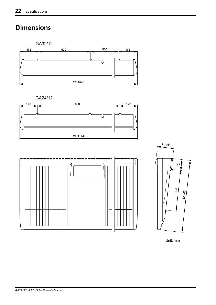# **Dimensions**

GA32/12 500 186 180 500 500 500 500 ₩ W: 1372

GA24/12







Unit: mm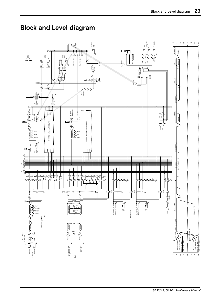# **Block and Level diagram**